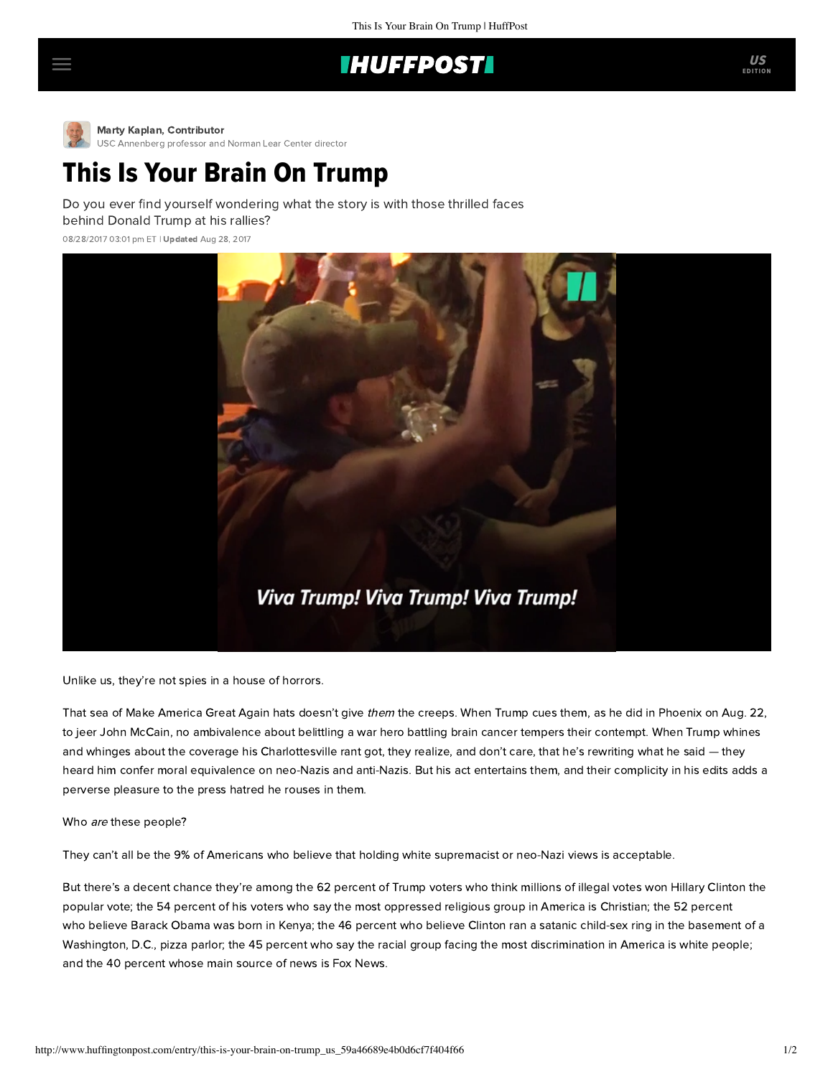## **IHUFFPOST**



[M](http://www.huffingtonpost.com/author/marty-kaplan)arty Kaplan, Contributor

[USC Annenberg professor and Norman Lear Center director](http://www.huffingtonpost.com/author/marty-kaplan)

## This Is Your Brain On Trump

Do you ever find yourself wondering what the story is with those thrilled faces behind Donald Trump at his rallies?

08/28/2017 03:01 pm ET | Updated Aug 28, 2017



Unlike us, they're not spies in a house of horrors.

That sea of Make America Great Again hats doesn't give them the creeps. When Trump cues them, as he did in Phoenix on Aug. 22, to jeer John McCain, no ambivalence about belittling a war hero battling brain cancer tempers their contempt. When Trump whines and whinges about the coverage his Charlottesville rant got, they realize, and don't care, that he's rewriting what he said – they heard him confer moral equivalence on neo-Nazis and anti-Nazis. But his act entertains them, and their complicity in his edits adds a perverse pleasure to the press hatred he rouses in them.

## Who are these people?

They can't all be the 9% of Americans who [believe](http://abcnews.go.com/Politics/28-approve-trumps-response-charlottesville-poll/story?id=49334079) that holding white supremacist or neo-Nazi views is acceptable.

But there's a decent chance they're among the 62 percent of Trump voters who [think](https://today.yougov.com/news/2016/12/27/belief-conspiracies-largely-depends-political-iden/) millions of illegal votes won Hillary Clinton the popular vote; the 54 percent of his voters who [say](http://www.publicpolicypolling.com/main/2017/08/trump-holds-steady-after-charlottesville-supporters-think-whites-christians-face-discrimination.html) the most oppressed religious group in America is Christian; the 52 percent who [believe](https://www.washingtonpost.com/news/rampage/wp/2016/12/28/americans-especially-but-not-exclusively-trump-voters-believe-crazy-wrong-things/?utm_term=.18044071a8fb) Barack Obama was born in Kenya; the 46 percent who [believe](https://www.washingtonpost.com/news/rampage/wp/2016/12/28/americans-especially-but-not-exclusively-trump-voters-believe-crazy-wrong-things/?utm_term=.18044071a8fb) Clinton ran a satanic child-sex ring in the basement of a Washington, D.C., pizza parlor; the 45 percent who [say](http://www.publicpolicypolling.com/main/2017/08/trump-holds-steady-after-charlottesville-supporters-think-whites-christians-face-discrimination.html) the racial group facing the most discrimination in America is white people; and the 40 percent whose [main source](http://www.journalism.org/2017/01/18/trump-clinton-voters-divided-in-their-main-source-for-election-news/) of news is Fox News.